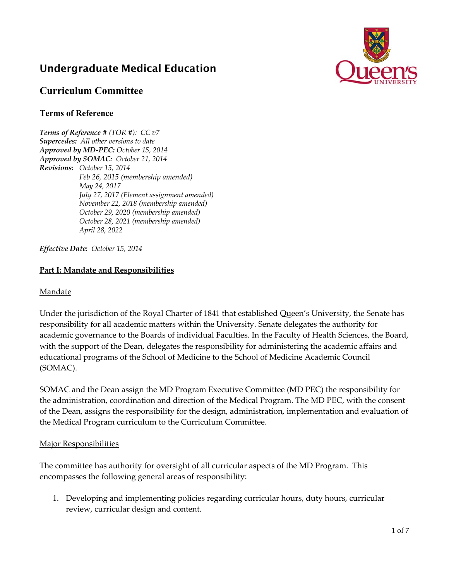# Undergraduate Medical Education



# **Curriculum Committee**

### **Terms of Reference**

*Terms of Reference # (TOR #): CC v7 Supercedes: All other versions to date Approved by MD-PEC: October 15, 2014 Approved by SOMAC: October 21, 2014 Revisions: October 15, 2014 Feb 26, 2015 (membership amended) May 24, 2017 July 27, 2017 (Element assignment amended) November 22, 2018 (membership amended) October 29, 2020 (membership amended) October 28, 2021 (membership amended) April 28, 2022* 

*Effective Date: October 15, 2014* 

### **Part I: Mandate and Responsibilities**

#### Mandate

Under the jurisdiction of the Royal Charter of 1841 that established Queen's University, the Senate has responsibility for all academic matters within the University. Senate delegates the authority for academic governance to the Boards of individual Faculties. In the Faculty of Health Sciences, the Board, with the support of the Dean, delegates the responsibility for administering the academic affairs and educational programs of the School of Medicine to the School of Medicine Academic Council (SOMAC).

SOMAC and the Dean assign the MD Program Executive Committee (MD PEC) the responsibility for the administration, coordination and direction of the Medical Program. The MD PEC, with the consent of the Dean, assigns the responsibility for the design, administration, implementation and evaluation of the Medical Program curriculum to the Curriculum Committee.

### Major Responsibilities

The committee has authority for oversight of all curricular aspects of the MD Program. This encompasses the following general areas of responsibility:

1. Developing and implementing policies regarding curricular hours, duty hours, curricular review, curricular design and content.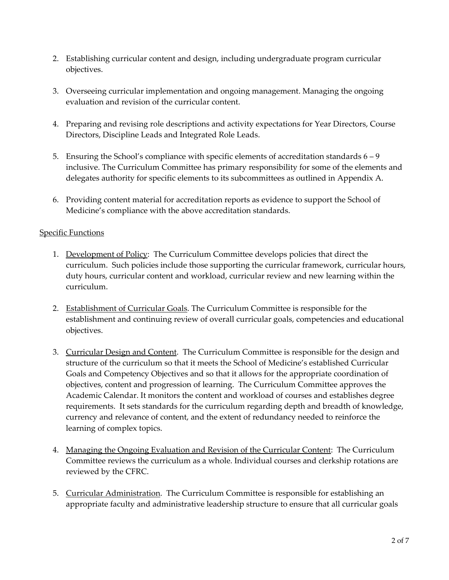- 2. Establishing curricular content and design, including undergraduate program curricular objectives.
- 3. Overseeing curricular implementation and ongoing management. Managing the ongoing evaluation and revision of the curricular content.
- 4. Preparing and revising role descriptions and activity expectations for Year Directors, Course Directors, Discipline Leads and Integrated Role Leads.
- 5. Ensuring the School's compliance with specific elements of accreditation standards  $6 9$ inclusive. The Curriculum Committee has primary responsibility for some of the elements and delegates authority for specific elements to its subcommittees as outlined in Appendix A.
- 6. Providing content material for accreditation reports as evidence to support the School of Medicine's compliance with the above accreditation standards.

### Specific Functions

- 1. Development of Policy: The Curriculum Committee develops policies that direct the curriculum. Such policies include those supporting the curricular framework, curricular hours, duty hours, curricular content and workload, curricular review and new learning within the curriculum.
- 2. Establishment of Curricular Goals. The Curriculum Committee is responsible for the establishment and continuing review of overall curricular goals, competencies and educational objectives.
- 3. Curricular Design and Content. The Curriculum Committee is responsible for the design and structure of the curriculum so that it meets the School of Medicine's established Curricular Goals and Competency Objectives and so that it allows for the appropriate coordination of objectives, content and progression of learning. The Curriculum Committee approves the Academic Calendar. It monitors the content and workload of courses and establishes degree requirements. It sets standards for the curriculum regarding depth and breadth of knowledge, currency and relevance of content, and the extent of redundancy needed to reinforce the learning of complex topics.
- 4. Managing the Ongoing Evaluation and Revision of the Curricular Content: The Curriculum Committee reviews the curriculum as a whole. Individual courses and clerkship rotations are reviewed by the CFRC.
- 5. Curricular Administration. The Curriculum Committee is responsible for establishing an appropriate faculty and administrative leadership structure to ensure that all curricular goals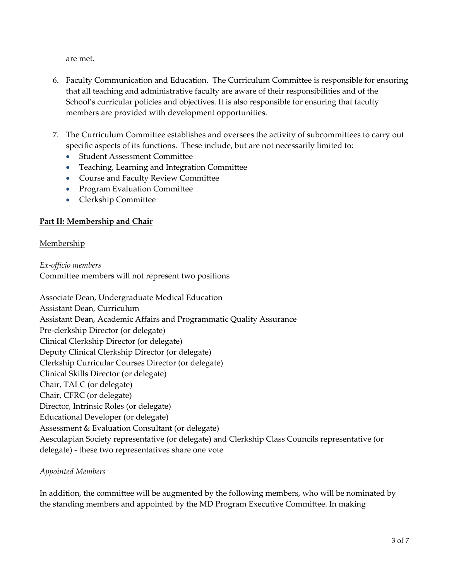are met.

- 6. Faculty Communication and Education. The Curriculum Committee is responsible for ensuring that all teaching and administrative faculty are aware of their responsibilities and of the School's curricular policies and objectives. It is also responsible for ensuring that faculty members are provided with development opportunities.
- 7. The Curriculum Committee establishes and oversees the activity of subcommittees to carry out specific aspects of its functions. These include, but are not necessarily limited to:
	- Student Assessment Committee
	- Teaching, Learning and Integration Committee
	- Course and Faculty Review Committee
	- Program Evaluation Committee
	- Clerkship Committee

# **Part II: Membership and Chair**

### **Membership**

*Ex‐officio members* Committee members will not represent two positions

Associate Dean, Undergraduate Medical Education Assistant Dean, Curriculum Assistant Dean, Academic Affairs and Programmatic Quality Assurance Pre‐clerkship Director (or delegate) Clinical Clerkship Director (or delegate) Deputy Clinical Clerkship Director (or delegate) Clerkship Curricular Courses Director (or delegate) Clinical Skills Director (or delegate) Chair, TALC (or delegate) Chair, CFRC (or delegate) Director, Intrinsic Roles (or delegate) Educational Developer (or delegate) Assessment & Evaluation Consultant (or delegate) Aesculapian Society representative (or delegate) and Clerkship Class Councils representative (or delegate) ‐ these two representatives share one vote

### *Appointed Members*

In addition, the committee will be augmented by the following members, who will be nominated by the standing members and appointed by the MD Program Executive Committee. In making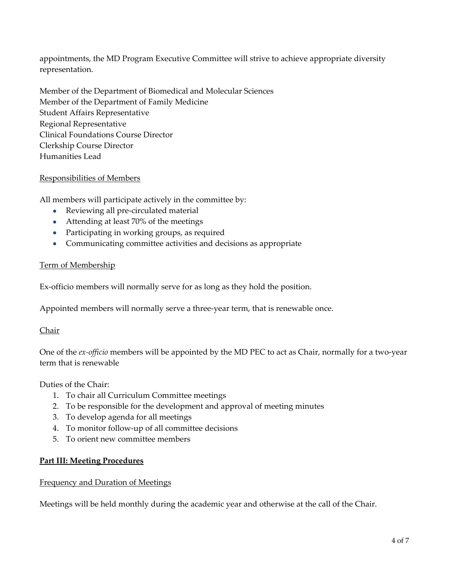appointments, the MD Program Executive Committee will strive to achieve appropriate diversity representation.

Member of the Department of Biomedical and Molecular Sciences Member of the Department of Family Medicine Student Affairs Representative Regional Representative Clinical Foundations Course Director Clerkship Course Director Humanities Lead

### Responsibilities of Members

All members will participate actively in the committee by:

- Reviewing all pre-circulated material
- Attending at least 70% of the meetings
- Participating in working groups, as required
- Communicating committee activities and decisions as appropriate

#### Term of Membership

Ex‐officio members will normally serve for as long as they hold the position.

Appointed members will normally serve a three‐year term, that is renewable once.

#### Chair

One of the *ex‐officio* members will be appointed by the MD PEC to act as Chair, normally for a two‐year term that is renewable

Duties of the Chair:

- 1. To chair all Curriculum Committee meetings
- 2. To be responsible for the development and approval of meeting minutes
- 3. To develop agenda for all meetings
- 4. To monitor follow‐up of all committee decisions
- 5. To orient new committee members

#### **Part III: Meeting Procedures**

#### Frequency and Duration of Meetings

Meetings will be held monthly during the academic year and otherwise at the call of the Chair.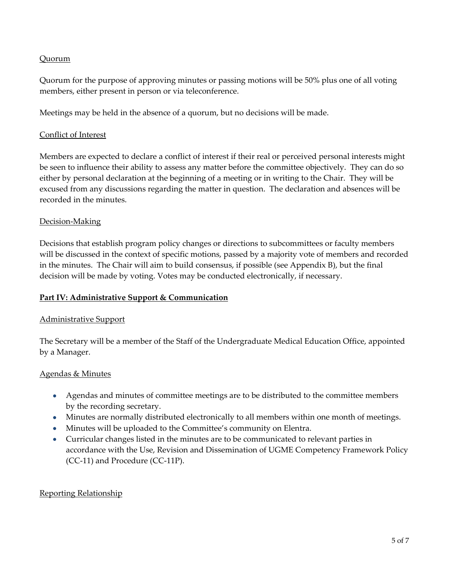### Quorum

Quorum for the purpose of approving minutes or passing motions will be 50% plus one of all voting members, either present in person or via teleconference.

Meetings may be held in the absence of a quorum, but no decisions will be made.

### Conflict of Interest

Members are expected to declare a conflict of interest if their real or perceived personal interests might be seen to influence their ability to assess any matter before the committee objectively. They can do so either by personal declaration at the beginning of a meeting or in writing to the Chair. They will be excused from any discussions regarding the matter in question. The declaration and absences will be recorded in the minutes.

### Decision‐Making

Decisions that establish program policy changes or directions to subcommittees or faculty members will be discussed in the context of specific motions, passed by a majority vote of members and recorded in the minutes. The Chair will aim to build consensus, if possible (see Appendix B), but the final decision will be made by voting. Votes may be conducted electronically, if necessary.

### **Part IV: Administrative Support & Communication**

### Administrative Support

The Secretary will be a member of the Staff of the Undergraduate Medical Education Office, appointed by a Manager.

### Agendas & Minutes

- Agendas and minutes of committee meetings are to be distributed to the committee members by the recording secretary.
- Minutes are normally distributed electronically to all members within one month of meetings.
- Minutes will be uploaded to the Committee's community on Elentra.
- Curricular changes listed in the minutes are to be communicated to relevant parties in accordance with the Use, Revision and Dissemination of UGME Competency Framework Policy (CC‐11) and Procedure (CC‐11P).

### Reporting Relationship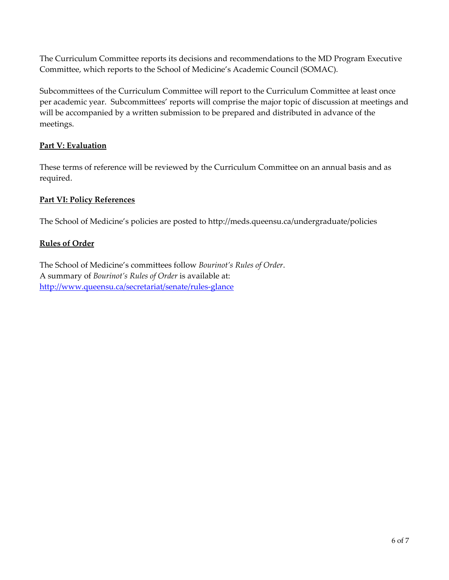The Curriculum Committee reports its decisions and recommendations to the MD Program Executive Committee, which reports to the School of Medicine's Academic Council (SOMAC).

Subcommittees of the Curriculum Committee will report to the Curriculum Committee at least once per academic year. Subcommittees' reports will comprise the major topic of discussion at meetings and will be accompanied by a written submission to be prepared and distributed in advance of the meetings.

# **Part V: Evaluation**

These terms of reference will be reviewed by the Curriculum Committee on an annual basis and as required.

# **Part VI: Policy References**

The School of Medicine's policies are posted to http://meds.queensu.ca/undergraduate/policies

# **Rules of Order**

The School of Medicine's committees follow *Bourinot's Rules of Order*. A summary of *Bourinot's Rules of Order* is available at: http://www.queensu.ca/secretariat/senate/rules‐glance